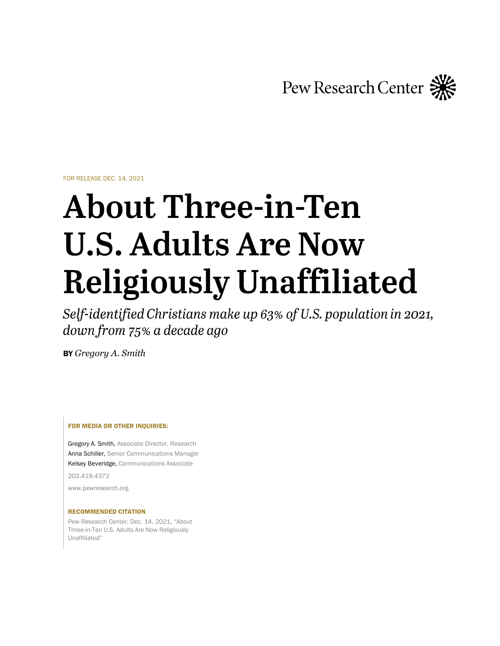Pew Research Center

FOR RELEASE DEC. 14, 2021

# **About Three-in-Ten U.S. Adults Are Now Religiously Unaffiliated**

Self-identified Christians make up 63% of U.S. population in 2021, down from 75% a decade ago

BY *Gregory A. Smith*

#### FOR MEDIA OR OTHER INQUIRIES:

Gregory A. Smith, Associate Director, Research Anna Schiller, Senior Communications Manager Kelsey Beveridge, Communications Associate

202.419.4372

www.pewresearch.org

#### RECOMMENDED CITATION

Pew Research Center, Dec. 14, 2021, "About Three-in-Ten U.S. Adults Are Now Religiously Unaffiliated"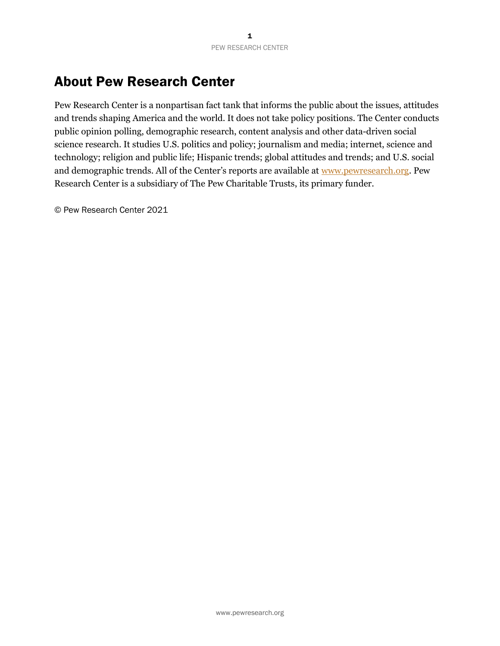# About Pew Research Center

Pew Research Center is a nonpartisan fact tank that informs the public about the issues, attitudes and trends shaping America and the world. It does not take policy positions. The Center conducts public opinion polling, demographic research, content analysis and other data-driven social science research. It studies U.S. politics and policy; journalism and media; internet, science and technology; religion and public life; Hispanic trends; global attitudes and trends; and U.S. social and demographic trends. All of the Center's reports are available at [www.pewresearch.org.](http://www.pewresearch.org/) Pew Research Center is a subsidiary of The Pew Charitable Trusts, its primary funder.

© Pew Research Center 2021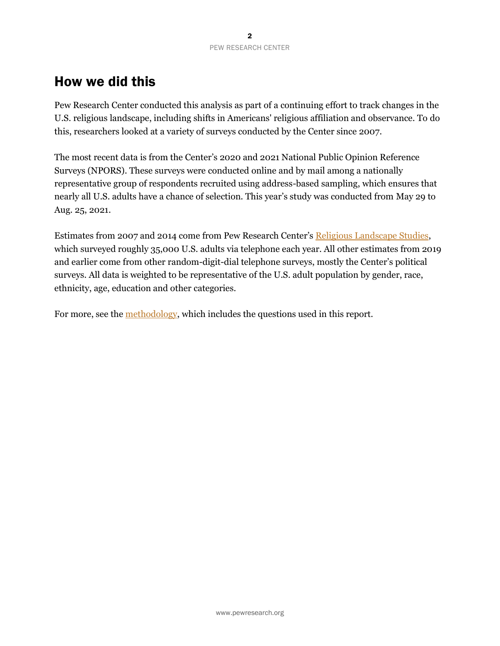# How we did this

Pew Research Center conducted this analysis as part of a continuing effort to track changes in the U.S. religious landscape, including shifts in Americans' religious affiliation and observance. To do this, researchers looked at a variety of surveys conducted by the Center since 2007.

The most recent data is from the Center's 2020 and 2021 National Public Opinion Reference Surveys (NPORS). These surveys were conducted online and by mail among a nationally representative group of respondents recruited using address-based sampling, which ensures that nearly all U.S. adults have a chance of selection. This year's study was conducted from May 29 to Aug. 25, 2021.

Estimates from 2007 and 2014 come from Pew Research Center's [Religious Landscape Studies,](https://www.pewforum.org/religious-landscape-study/) which surveyed roughly 35,000 U.S. adults via telephone each year. All other estimates from 2019 and earlier come from other random-digit-dial telephone surveys, mostly the Center's political surveys. All data is weighted to be representative of the U.S. adult population by gender, race, ethnicity, age, education and other categories.

For more, see the [methodology,](https://www.pewforum.org/2021/12/14/methodology-46) which includes the questions used in this report.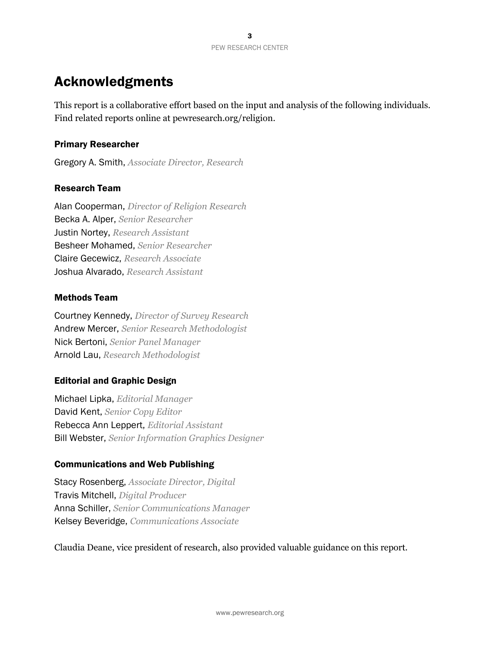# Acknowledgments

This report is a collaborative effort based on the input and analysis of the following individuals. Find related reports online at pewresearch.org/religion.

# Primary Researcher

Gregory A. Smith, *Associate Director, Research*

# Research Team

Alan Cooperman, *Director of Religion Research* Becka A. Alper, *Senior Researcher* Justin Nortey, *Research Assistant* Besheer Mohamed, *Senior Researcher* Claire Gecewicz, *Research Associate* Joshua Alvarado, *Research Assistant*

## Methods Team

Courtney Kennedy, *Director of Survey Research* Andrew Mercer, *Senior Research Methodologist* Nick Bertoni, *Senior Panel Manager* Arnold Lau, *Research Methodologist*

# Editorial and Graphic Design

Michael Lipka, *Editorial Manager* David Kent, *Senior Copy Editor* Rebecca Ann Leppert, *Editorial Assistant* Bill Webster, *Senior Information Graphics Designer*

# Communications and Web Publishing

Stacy Rosenberg, *Associate Director, Digital* Travis Mitchell, *Digital Producer* Anna Schiller, *Senior Communications Manager* Kelsey Beveridge, *Communications Associate*

Claudia Deane, vice president of research, also provided valuable guidance on this report.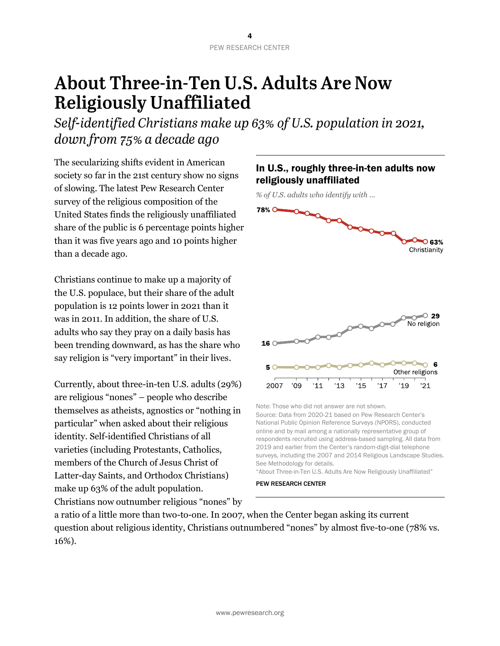# **About Three-in-Ten U.S. Adults Are Now Religiously Unaffiliated**

Self-identified Christians make up 63% of U.S. population in 2021, down from 75% a decade ago

The secularizing shifts evident in American society so far in the 21st century show no signs of slowing. The latest Pew Research Center survey of the religious composition of the United States finds the religiously unaffiliated share of the public is 6 percentage points higher than it was five years ago and 10 points higher than a decade ago.

Christians continue to make up a majority of the U.S. populace, but their share of the adult population is 12 points lower in 2021 than it was in 2011. In addition, the share of U.S. adults who say they pray on a daily basis has been trending downward, as has the share who say religion is "very important" in their lives.

Currently, about three-in-ten U.S. adults (29%) are religious "nones" – people who describe themselves as atheists, agnostics or "nothing in particular" when asked about their religious identity. Self-identified Christians of all varieties (including Protestants, Catholics, members of the Church of Jesus Christ of Latter-day Saints, and Orthodox Christians) make up 63% of the adult population. Christians now outnumber religious "nones" by

# In U.S., roughly three-in-ten adults now religiously unaffiliated

*% of U.S. adults who identify with …*



Note: Those who did not answer are not shown. Source: Data from 2020-21 based on Pew Research Center's National Public Opinion Reference Surveys (NPORS), conducted online and by mail among a nationally representative group of respondents recruited using address-based sampling. All data from 2019 and earlier from the Center's random-digit-dial telephone surveys, including the 2007 and 2014 Religious Landscape Studies. See Methodology for details.

"About Three-in-Ten U.S. Adults Are Now Religiously Unaffiliated" PEW RESEARCH CENTER

a ratio of a little more than two-to-one. In 2007, when the Center began asking its current question about religious identity, Christians outnumbered "nones" by almost five-to-one (78% vs. 16%).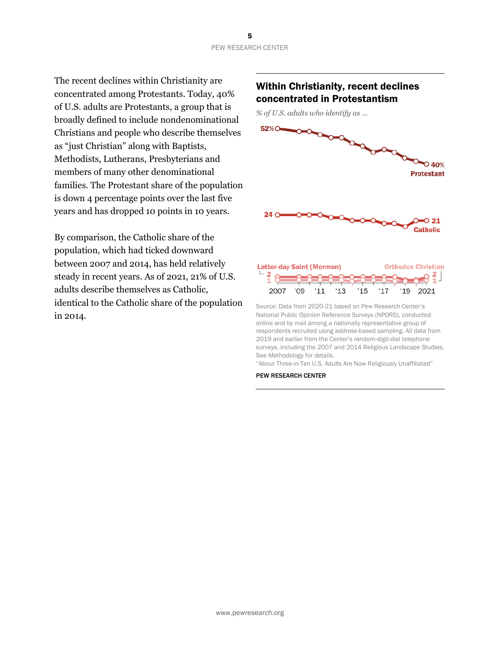The recent declines within Christianity are concentrated among Protestants. Today, 40% of U.S. adults are Protestants, a group that is broadly defined to include nondenominational Christians and people who describe themselves as "just Christian" along with Baptists, Methodists, Lutherans, Presbyterians and members of many other denominational families. The Protestant share of the population is down 4 percentage points over the last five years and has dropped 10 points in 10 years.

By comparison, the Catholic share of the population, which had ticked downward between 2007 and 2014, has held relatively steady in recent years. As of 2021, 21% of U.S. adults describe themselves as Catholic, identical to the Catholic share of the population in 2014.

# Within Christianity, recent declines concentrated in Protestantism

*% of U.S. adults who identify as …*



2019 and earlier from the Center's random-digit-dial telephone surveys, including the 2007 and 2014 Religious Landscape Studies. See Methodology for details. "About Three-in-Ten U.S. Adults Are Now Religiously Unaffiliated"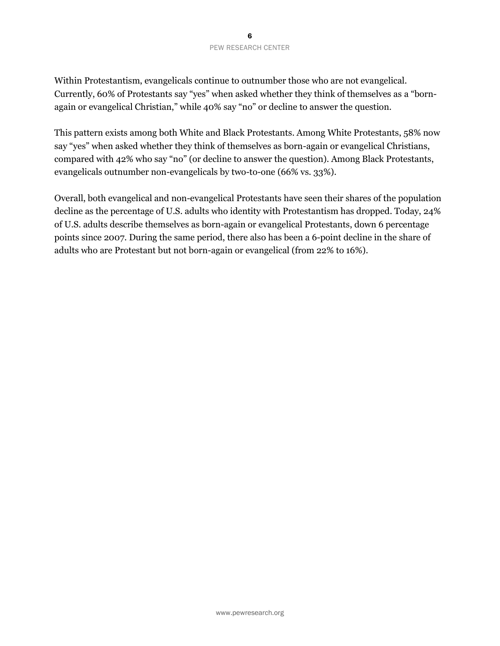## 6 PEW RESEARCH CENTER

Within Protestantism, evangelicals continue to outnumber those who are not evangelical. Currently, 60% of Protestants say "yes" when asked whether they think of themselves as a "bornagain or evangelical Christian," while 40% say "no" or decline to answer the question.

This pattern exists among both White and Black Protestants. Among White Protestants, 58% now say "yes" when asked whether they think of themselves as born-again or evangelical Christians, compared with 42% who say "no" (or decline to answer the question). Among Black Protestants, evangelicals outnumber non-evangelicals by two-to-one (66% vs. 33%).

Overall, both evangelical and non-evangelical Protestants have seen their shares of the population decline as the percentage of U.S. adults who identity with Protestantism has dropped. Today, 24% of U.S. adults describe themselves as born-again or evangelical Protestants, down 6 percentage points since 2007. During the same period, there also has been a 6-point decline in the share of adults who are Protestant but not born-again or evangelical (from 22% to 16%).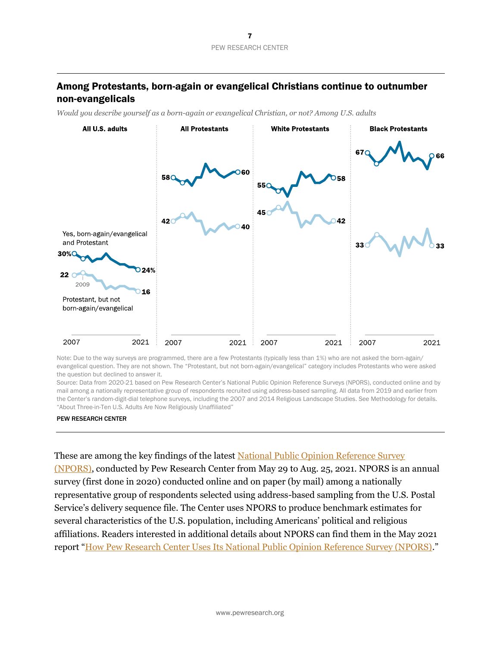# Among Protestants, born-again or evangelical Christians continue to outnumber non-evangelicals

*Would you describe yourself as a born-again or evangelical Christian, or not? Among U.S. adults*



Note: Due to the way surveys are programmed, there are a few Protestants (typically less than 1%) who are not asked the born-again/ evangelical question. They are not shown. The "Protestant, but not born-again/evangelical" category includes Protestants who were asked the question but declined to answer it.

Source: Data from 2020-21 based on Pew Research Center's National Public Opinion Reference Surveys (NPORS), conducted online and by mail among a nationally representative group of respondents recruited using address-based sampling. All data from 2019 and earlier from the Center's random-digit-dial telephone surveys, including the 2007 and 2014 Religious Landscape Studies. See Methodology for details. "About Three-in-Ten U.S. Adults Are Now Religiously Unaffiliated"

#### PEW RESEARCH CENTER

These are among the key findings of the latest [National Public Opinion Reference Survey](https://www.pewresearch.org/methods/fact-sheet/national-public-opinion-reference-survey-npors/)  [\(NPORS\),](https://www.pewresearch.org/methods/fact-sheet/national-public-opinion-reference-survey-npors/) conducted by Pew Research Center from May 29 to Aug. 25, 2021. NPORS is an annual survey (first done in 2020) conducted online and on paper (by mail) among a nationally representative group of respondents selected using address-based sampling from the U.S. Postal Service's delivery sequence file. The Center uses NPORS to produce benchmark estimates for several characteristics of the U.S. population, including Americans' political and religious affiliations. Readers interested in additional details about NPORS can find them in the May 2021 report "[How Pew Research Center Uses Its National Public Opinion Reference Survey \(NPORS\)](https://www.pewresearch.org/methods/2021/05/03/how-pew-research-center-uses-its-national-public-opinion-reference-survey-npors/)."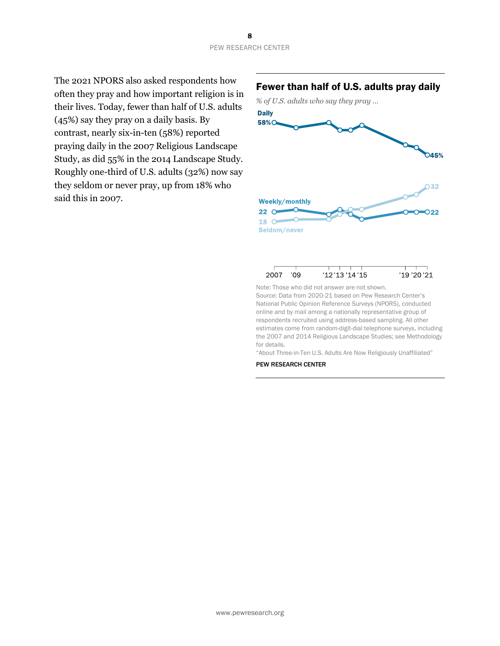The 2021 NPORS also asked respondents how often they pray and how important religion is in their lives. Today, fewer than half of U.S. adults (45%) say they pray on a daily basis. By contrast, nearly six-in-ten (58%) reported praying daily in the 2007 Religious Landscape Study, as did 55% in the 2014 Landscape Study. Roughly one-third of U.S. adults (32%) now say they seldom or never pray, up from 18% who said this in 2007.

# Fewer than half of U.S. adults pray daily





#### 2007 '09 '12'13'14'15 '19'20'21

Note: Those who did not answer are not shown. Source: Data from 2020-21 based on Pew Research Center's National Public Opinion Reference Surveys (NPORS), conducted online and by mail among a nationally representative group of respondents recruited using address-based sampling. All other estimates come from random-digit-dial telephone surveys, including the 2007 and 2014 Religious Landscape Studies; see Methodology for details.

"About Three-in-Ten U.S. Adults Are Now Religiously Unaffiliated"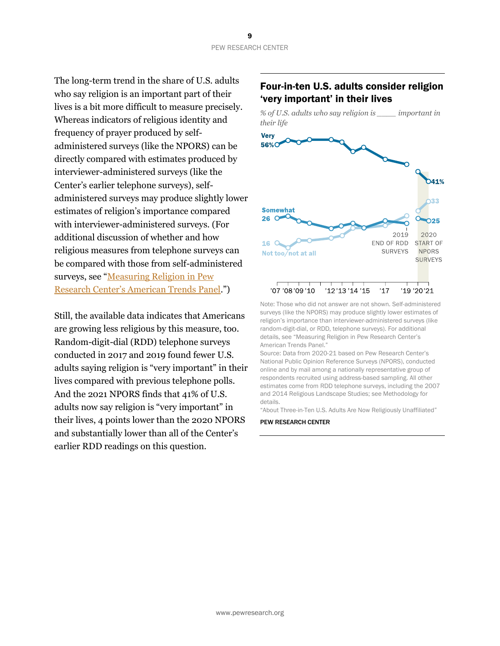The long-term trend in the share of U.S. adults who say religion is an important part of their lives is a bit more difficult to measure precisely. Whereas indicators of religious identity and frequency of prayer produced by selfadministered surveys (like the NPORS) can be directly compared with estimates produced by interviewer-administered surveys (like the Center's earlier telephone surveys), selfadministered surveys may produce slightly lower estimates of religion's importance compared with interviewer-administered surveys. (For additional discussion of whether and how religious measures from telephone surveys can be compared with those from self-administered surveys, see "[Measuring Religion in Pew](https://www.pewforum.org/2021/01/14/measuring-religion-in-pew-research-centers-american-trends-panel/)  [Research Center's American Trends Panel.](https://www.pewforum.org/2021/01/14/measuring-religion-in-pew-research-centers-american-trends-panel/)")

Still, the available data indicates that Americans are growing less religious by this measure, too. Random-digit-dial (RDD) telephone surveys conducted in 2017 and 2019 found fewer U.S. adults saying religion is "very important" in their lives compared with previous telephone polls. And the 2021 NPORS finds that 41% of U.S. adults now say religion is "very important" in their lives, 4 points lower than the 2020 NPORS and substantially lower than all of the Center's earlier RDD readings on this question.

# Four-in-ten U.S. adults consider religion 'very important' in their lives



Note: Those who did not answer are not shown. Self-administered surveys (like the NPORS) may produce slightly lower estimates of religion's importance than interviewer-administered surveys (like random-digit-dial, or RDD, telephone surveys). For additional details, see "Measuring Religion in Pew Research Center's American Trends Panel."

Source: Data from 2020-21 based on Pew Research Center's National Public Opinion Reference Surveys (NPORS), conducted online and by mail among a nationally representative group of respondents recruited using address-based sampling. All other estimates come from RDD telephone surveys, including the 2007 and 2014 Religious Landscape Studies; see Methodology for details.

"About Three-in-Ten U.S. Adults Are Now Religiously Unaffiliated"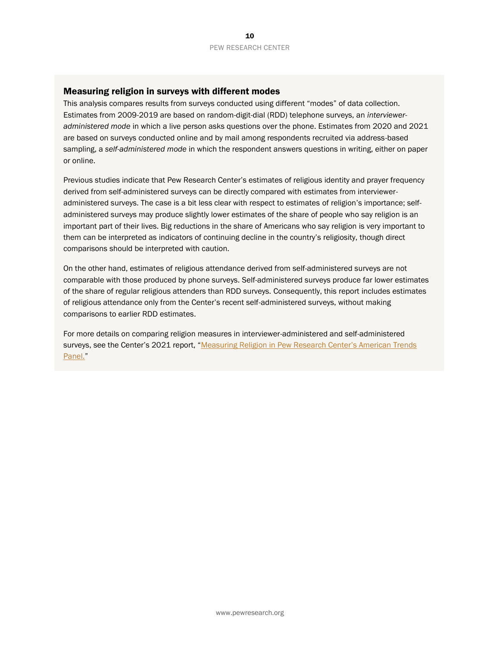## Measuring religion in surveys with different modes

This analysis compares results from surveys conducted using different "modes" of data collection. Estimates from 2009-2019 are based on random-digit-dial (RDD) telephone surveys, an *intervieweradministered mode* in which a live person asks questions over the phone. Estimates from 2020 and 2021 are based on surveys conducted online and by mail among respondents recruited via address-based sampling, a *self-administered mode* in which the respondent answers questions in writing, either on paper or online.

Previous studies indicate that Pew Research Center's estimates of religious identity and prayer frequency derived from self-administered surveys can be directly compared with estimates from intervieweradministered surveys. The case is a bit less clear with respect to estimates of religion's importance; selfadministered surveys may produce slightly lower estimates of the share of people who say religion is an important part of their lives. Big reductions in the share of Americans who say religion is very important to them can be interpreted as indicators of continuing decline in the country's religiosity, though direct comparisons should be interpreted with caution.

On the other hand, estimates of religious attendance derived from self-administered surveys are not comparable with those produced by phone surveys. Self-administered surveys produce far lower estimates of the share of regular religious attenders than RDD surveys. Consequently, this report includes estimates of religious attendance only from the Center's recent self-administered surveys, without making comparisons to earlier RDD estimates.

For more details on comparing religion measures in interviewer-administered and self-administered surveys, see the Center's 2021 report, "Measuring Religion in Pew Research Center's American Trends [Panel.](https://www.pewforum.org/2021/01/14/measuring-religion-in-pew-research-centers-american-trends-panel/)"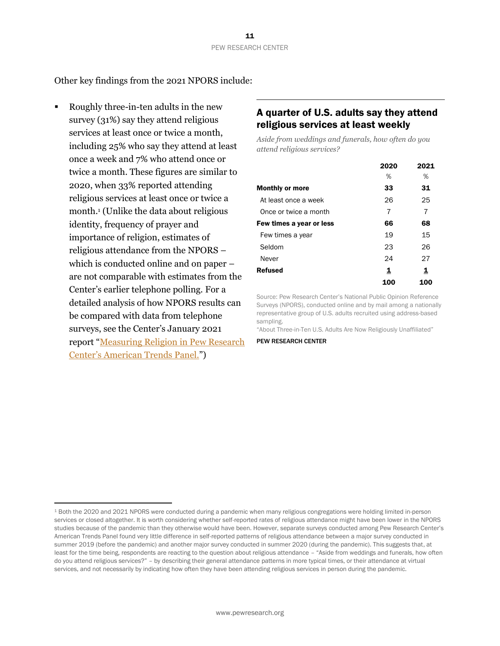Other key findings from the 2021 NPORS include:

Roughly three-in-ten adults in the new survey (31%) say they attend religious services at least once or twice a month, including 25% who say they attend at least once a week and 7% who attend once or twice a month. These figures are similar to 2020, when 33% reported attending religious services at least once or twice a month.<sup>1</sup> (Unlike the data about religious identity, frequency of prayer and importance of religion, estimates of religious attendance from the NPORS – which is conducted online and on paper – are not comparable with estimates from the Center's earlier telephone polling. For a detailed analysis of how NPORS results can be compared with data from telephone surveys, see the Center's January 2021 report "[Measuring Religion in Pew Research](file:///C:/Users/acooperman/AppData/Local/Microsoft/Windows/INetCache/Content.Outlook/64B3SHRB/The%20NPORS%20was%20conducted%20during%20the%20midst%20of%20a%20global%20pandemic%20when%20many%20religious%20congregations%20were%20holding%20limited%20in-person%20services%20or%20closed%20altogether.%20Thus,%20it%20is%20worth%20considering%20whether%20fewer%20people%20reported%20regular%20attendance%20because%20of%20the%20circumstances%20of%20the%20pandemic.%20However,%20the%20ATP%20finds%20very%20little%20difference%20in%20self-reported%20patterns%20of%20religious%20attendance%20between%20a%20major%20survey%20conducted%20in%20summer%202019%20(before%20the%20pandemic),%20when%2031%25%20reported%20attending%20monthly%20or%20more%20and%2069%25%20reported%20attending%20yearly%20or%20less,%20and%20a%20major%20survey%20conducted%20in%20summer%202020%20(during%20the%20pandemic),%20when%2032%25%20reported%20attending%20monthly%20or%20more%20and%20two-thirds%20reported%20attending%20yearly%20or%20less.)  [Center's American Tre](file:///C:/Users/acooperman/AppData/Local/Microsoft/Windows/INetCache/Content.Outlook/64B3SHRB/The%20NPORS%20was%20conducted%20during%20the%20midst%20of%20a%20global%20pandemic%20when%20many%20religious%20congregations%20were%20holding%20limited%20in-person%20services%20or%20closed%20altogether.%20Thus,%20it%20is%20worth%20considering%20whether%20fewer%20people%20reported%20regular%20attendance%20because%20of%20the%20circumstances%20of%20the%20pandemic.%20However,%20the%20ATP%20finds%20very%20little%20difference%20in%20self-reported%20patterns%20of%20religious%20attendance%20between%20a%20major%20survey%20conducted%20in%20summer%202019%20(before%20the%20pandemic),%20when%2031%25%20reported%20attending%20monthly%20or%20more%20and%2069%25%20reported%20attending%20yearly%20or%20less,%20and%20a%20major%20survey%20conducted%20in%20summer%202020%20(during%20the%20pandemic),%20when%2032%25%20reported%20attending%20monthly%20or%20more%20and%20two-thirds%20reported%20attending%20yearly%20or%20less.)nds Panel.")

# A quarter of U.S. adults say they attend religious services at least weekly

*Aside from weddings and funerals, how often do you attend religious services?*

|                          | 2020 | 2021 |
|--------------------------|------|------|
|                          | %    | %    |
| <b>Monthly or more</b>   | 33   | 31   |
| At least once a week     | 26   | 25   |
| Once or twice a month    | 7    | 7    |
| Few times a year or less | 66   | 68   |
| Few times a year         | 19   | 15   |
| Seldom                   | 23   | 26   |
| Never                    | 24   | 27   |
| <b>Refused</b>           | 1    | 1    |
|                          | 100  | 100  |

Source: Pew Research Center's National Public Opinion Reference Surveys (NPORS), conducted online and by mail among a nationally representative group of U.S. adults recruited using address-based sampling.

"About Three-in-Ten U.S. Adults Are Now Religiously Unaffiliated"

<sup>1</sup> Both the 2020 and 2021 NPORS were conducted during a pandemic when many religious congregations were holding limited in-person services or closed altogether. It is worth considering whether self-reported rates of religious attendance might have been lower in the NPORS studies because of the pandemic than they otherwise would have been. However, separate surveys conducted among Pew Research Center's American Trends Panel found very little difference in self-reported patterns of religious attendance between a major survey conducted in summer 2019 (before the pandemic) and another major survey conducted in summer 2020 (during the pandemic). This suggests that, at least for the time being, respondents are reacting to the question about religious attendance – "Aside from weddings and funerals, how often do you attend religious services?" – by describing their general attendance patterns in more typical times, or their attendance at virtual services, and not necessarily by indicating how often they have been attending religious services in person during the pandemic.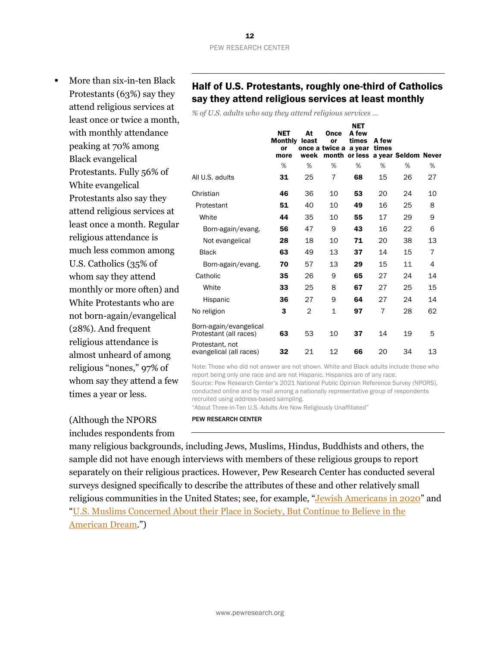More than six-in-ten Black Protestants (63%) say they attend religious services at least once or twice a month, with monthly attendance peaking at 70% among Black evangelical Protestants. Fully 56% of White evangelical Protestants also say they attend religious services at least once a month. Regular religious attendance is much less common among U.S. Catholics (35% of whom say they attend monthly or more often) and White Protestants who are not born-again/evangelical (28%). And frequent religious attendance is almost unheard of among religious "nones," 97% of whom say they attend a few times a year or less.

# Half of U.S. Protestants, roughly one-third of Catholics say they attend religious services at least monthly

*% of U.S. adults who say they attend religious services …*

|                                                  | <b>NET</b><br><b>Monthly</b><br>or<br>more | At<br>least<br>week | Once<br>or<br>once a twice a a year | <b>NET</b><br>A few<br>times | A few<br>times | month or less a year Seldom Never |                |
|--------------------------------------------------|--------------------------------------------|---------------------|-------------------------------------|------------------------------|----------------|-----------------------------------|----------------|
|                                                  | %                                          | %                   | %                                   | %                            | %              | %                                 | %              |
| All U.S. adults                                  | 31                                         | 25                  | 7                                   | 68                           | 15             | 26                                | 27             |
| Christian                                        | 46                                         | 36                  | 10                                  | 53                           | 20             | 24                                | 10             |
| Protestant                                       | 51                                         | 40                  | 10                                  | 49                           | 16             | 25                                | 8              |
| White                                            | 44                                         | 35                  | 10                                  | 55                           | 17             | 29                                | 9              |
| Born-again/evang.                                | 56                                         | 47                  | 9                                   | 43                           | 16             | 22                                | 6              |
| Not evangelical                                  | 28                                         | 18                  | 10                                  | 71                           | 20             | 38                                | 13             |
| <b>Black</b>                                     | 63                                         | 49                  | 13                                  | 37                           | 14             | 15                                | $\overline{7}$ |
| Born-again/evang.                                | 70                                         | 57                  | 13                                  | 29                           | 15             | 11                                | 4              |
| Catholic                                         | 35                                         | 26                  | 9                                   | 65                           | 27             | 24                                | 14             |
| White                                            | 33                                         | 25                  | 8                                   | 67                           | 27             | 25                                | 15             |
| Hispanic                                         | 36                                         | 27                  | 9                                   | 64                           | 27             | 24                                | 14             |
| No religion                                      | 3                                          | $\overline{2}$      | 1                                   | 97                           | 7              | 28                                | 62             |
| Born-again/evangelical<br>Protestant (all races) | 63                                         | 53                  | 10                                  | 37                           | 14             | 19                                | 5              |
| Protestant, not<br>evangelical (all races)       | 32                                         | 21                  | 12                                  | 66                           | 20             | 34                                | 13             |

Note: Those who did not answer are not shown. White and Black adults include those who report being only one race and are not Hispanic. Hispanics are of any race. Source: Pew Research Center's 2021 National Public Opinion Reference Survey (NPORS), conducted online and by mail among a nationally representative group of respondents recruited using address-based sampling.

"About Three-in-Ten U.S. Adults Are Now Religiously Unaffiliated"

(Although the NPORS

includes respondents from

many religious backgrounds, including Jews, Muslims, Hindus, Buddhists and others, the sample did not have enough interviews with members of these religious groups to report separately on their religious practices. However, Pew Research Center has conducted several

PEW RESEARCH CENTER

surveys designed specifically to describe the attributes of these and other relatively small religious communities in the United States; see, for example, "[Jewish Americans in 2020](https://www.pewforum.org/2021/05/11/jewish-americans-in-2020/)" and "[U.S. Muslims Concerned About their Place in Society, But Continue to Believe in the](https://www.pewforum.org/2017/07/26/findings-from-pew-research-centers-2017-survey-of-us-muslims/)  [American Dream](https://www.pewforum.org/2017/07/26/findings-from-pew-research-centers-2017-survey-of-us-muslims/).")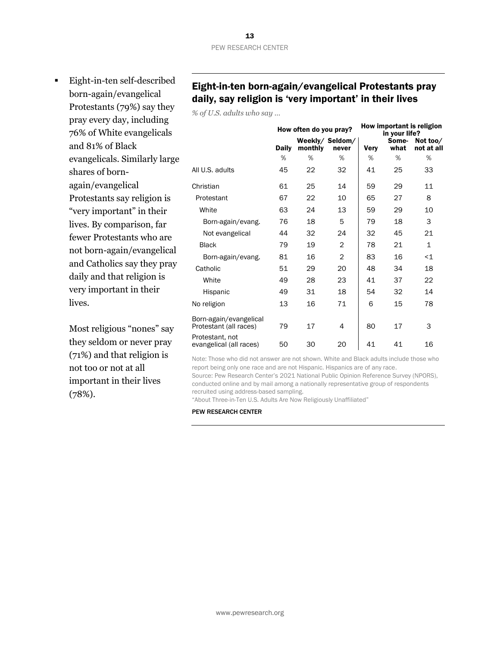**Eight-in-ten self-described** born-again/evangelical Protestants (79%) say they pray every day, including 76% of White evangelicals and 81% of Black evangelicals. Similarly large shares of bornagain/evangelical Protestants say religion is "very important" in their lives. By comparison, far fewer Protestants who are not born-again/evangelical and Catholics say they pray daily and that religion is very important in their lives.

> Most religious "nones" say they seldom or never pray (71%) and that religion is not too or not at all important in their lives (78%).

# Eight-in-ten born-again/evangelical Protestants pray daily, say religion is 'very important' in their lives

*% of U.S. adults who say …*

|                                                  | How often do you pray? |         |                          | How important is religion<br>in your life? |               |                        |  |
|--------------------------------------------------|------------------------|---------|--------------------------|--------------------------------------------|---------------|------------------------|--|
|                                                  | <b>Daily</b>           | monthly | Weekly/ Seldom/<br>never | Very                                       | Some-<br>what | Not too/<br>not at all |  |
|                                                  | %                      | %       | %                        | $\%$                                       | %             | %                      |  |
| All U.S. adults                                  | 45                     | 22      | 32                       | 41                                         | 25            | 33                     |  |
| Christian                                        | 61                     | 25      | 14                       | 59                                         | 29            | 11                     |  |
| Protestant                                       | 67                     | 22      | 10                       | 65                                         | 27            | 8                      |  |
| White                                            | 63                     | 24      | 13                       | 59                                         | 29            | 10                     |  |
| Born-again/evang.                                | 76                     | 18      | 5                        | 79                                         | 18            | 3                      |  |
| Not evangelical                                  | 44                     | 32      | 24                       | 32                                         | 45            | 21                     |  |
| <b>Black</b>                                     | 79                     | 19      | $\overline{2}$           | 78                                         | 21            | $\mathbf{1}$           |  |
| Born-again/evang.                                | 81                     | 16      | $\overline{2}$           | 83                                         | 16            | $<$ 1                  |  |
| Catholic                                         | 51                     | 29      | 20                       | 48                                         | 34            | 18                     |  |
| White                                            | 49                     | 28      | 23                       | 41                                         | 37            | 22                     |  |
| Hispanic                                         | 49                     | 31      | 18                       | 54                                         | 32            | 14                     |  |
| No religion                                      | 13                     | 16      | 71                       | 6                                          | 15            | 78                     |  |
| Born-again/evangelical<br>Protestant (all races) | 79                     | 17      | 4                        | 80                                         | 17            | 3                      |  |
| Protestant, not<br>evangelical (all races)       | 50                     | 30      | 20                       | 41                                         | 41            | 16                     |  |

Note: Those who did not answer are not shown. White and Black adults include those who report being only one race and are not Hispanic. Hispanics are of any race.

Source: Pew Research Center's 2021 National Public Opinion Reference Survey (NPORS), conducted online and by mail among a nationally representative group of respondents recruited using address-based sampling.

"About Three-in-Ten U.S. Adults Are Now Religiously Unaffiliated"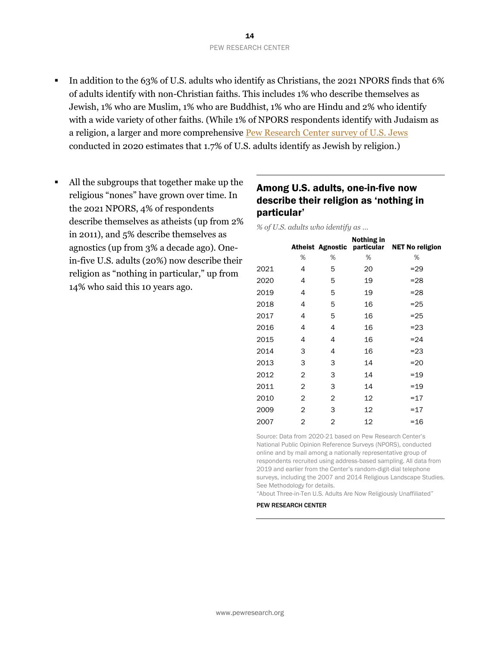- **IF 15** In addition to the 63% of U.S. adults who identify as Christians, the 2021 NPORS finds that 6% of adults identify with non-Christian faiths. This includes 1% who describe themselves as Jewish, 1% who are Muslim, 1% who are Buddhist, 1% who are Hindu and 2% who identify with a wide variety of other faiths. (While 1% of NPORS respondents identify with Judaism as a religion, a larger and more comprehensive [Pew Research Center survey of U.S. Jews](https://www.pewforum.org/2021/05/11/the-size-of-the-u-s-jewish-population/) conducted in 2020 estimates that 1.7% of U.S. adults identify as Jewish by religion.)
- All the subgroups that together make up the religious "nones" have grown over time. In the 2021 NPORS, 4% of respondents describe themselves as atheists (up from 2% in 2011), and 5% describe themselves as agnostics (up from 3% a decade ago). Onein-five U.S. adults (20%) now describe their religion as "nothing in particular," up from 14% who said this 10 years ago.

# Among U.S. adults, one-in-five now describe their religion as 'nothing in particular'

*% of U.S. adults who identify as …*

|      |   |                | Nothing in | Atheist Agnostic particular NET No religion |
|------|---|----------------|------------|---------------------------------------------|
|      | % | %              | %          | %                                           |
| 2021 | 4 | 5              | 20         | $= 29$                                      |
| 2020 | 4 | 5              | 19         | $= 28$                                      |
| 2019 | 4 | 5              | 19         | $=28$                                       |
| 2018 | 4 | 5              | 16         | $= 25$                                      |
| 2017 | 4 | 5              | 16         | $= 25$                                      |
| 2016 | 4 | 4              | 16         | $= 23$                                      |
| 2015 | 4 | 4              | 16         | $= 24$                                      |
| 2014 | 3 | 4              | 16         | $= 23$                                      |
| 2013 | 3 | 3              | 14         | $=20$                                       |
| 2012 | 2 | 3              | 14         | $=19$                                       |
| 2011 | 2 | 3              | 14         | $=19$                                       |
| 2010 | 2 | $\overline{2}$ | 12         | $=17$                                       |
| 2009 | 2 | 3              | 12         | $=17$                                       |
| 2007 | 2 | 2              | 12         | $=16$                                       |

Source: Data from 2020-21 based on Pew Research Center's National Public Opinion Reference Surveys (NPORS), conducted online and by mail among a nationally representative group of respondents recruited using address-based sampling. All data from 2019 and earlier from the Center's random-digit-dial telephone surveys, including the 2007 and 2014 Religious Landscape Studies. See Methodology for details.

"About Three-in-Ten U.S. Adults Are Now Religiously Unaffiliated"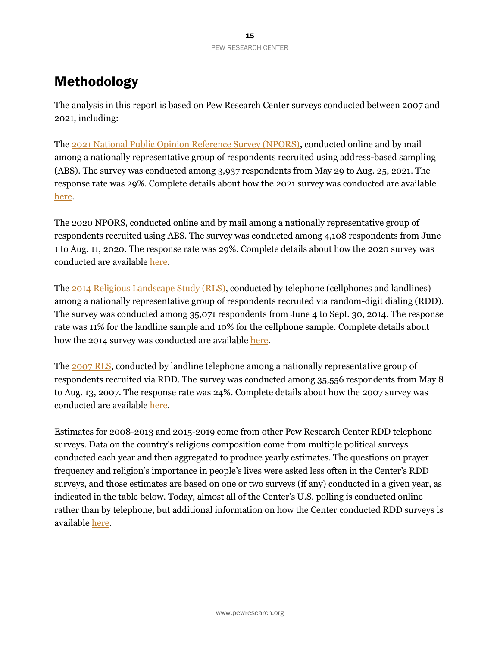# Methodology

The analysis in this report is based on Pew Research Center surveys conducted between 2007 and 2021, including:

The [2021 National Public Opinion Reference Survey \(NPORS\),](https://www.pewresearch.org/methods/fact-sheet/national-public-opinion-reference-survey-npors/) conducted online and by mail among a nationally representative group of respondents recruited using address-based sampling (ABS). The survey was conducted among 3,937 respondents from May 29 to Aug. 25, 2021. The response rate was 29%. Complete details about how the 2021 survey was conducted are available [here.](https://www.pewresearch.org/methods/wp-content/uploads/sites/10/2021/09/2021-NPORS-Methodology-Statement.pdf)

The 2020 NPORS, conducted online and by mail among a nationally representative group of respondents recruited using ABS. The survey was conducted among 4,108 respondents from June 1 to Aug. 11, 2020. The response rate was 29%. Complete details about how the 2020 survey was conducted are available [here.](https://www.pewforum.org/wp-content/uploads/sites/7/2021/01/2020-National-Public-Opinion-Reference-Survey-Methodology.pdf)

The [2014 Religious Landscape Study \(RLS\),](https://www.pewforum.org/2015/05/12/americas-changing-religious-landscape/) conducted by telephone (cellphones and landlines) among a nationally representative group of respondents recruited via random-digit dialing (RDD). The survey was conducted among 35,071 respondents from June 4 to Sept. 30, 2014. The response rate was 11% for the landline sample and 10% for the cellphone sample. Complete details about how the 2014 survey was conducted are available [here.](https://www.pewforum.org/2015/05/12/appendix-a-methodology-3/)

The [2007 RLS,](https://www.pewforum.org/2008/02/01/u-s-religious-landscape-survey-religious-affiliation/) conducted by landline telephone among a nationally representative group of respondents recruited via RDD. The survey was conducted among 35,556 respondents from May 8 to Aug. 13, 2007. The response rate was 24%. Complete details about how the 2007 survey was conducted are available [here.](https://www.pewresearch.org/wp-content/uploads/sites/7/2008/02/report-religious-landscape-study-appendixes.pdf)

Estimates for 2008-2013 and 2015-2019 come from other Pew Research Center RDD telephone surveys. Data on the country's religious composition come from multiple political surveys conducted each year and then aggregated to produce yearly estimates. The questions on prayer frequency and religion's importance in people's lives were asked less often in the Center's RDD surveys, and those estimates are based on one or two surveys (if any) conducted in a given year, as indicated in the table below. Today, almost all of the Center's U.S. polling is conducted online rather than by telephone, but additional information on how the Center conducted RDD surveys is available [here.](https://www.pewforum.org/2019/10/17/methodology-28/)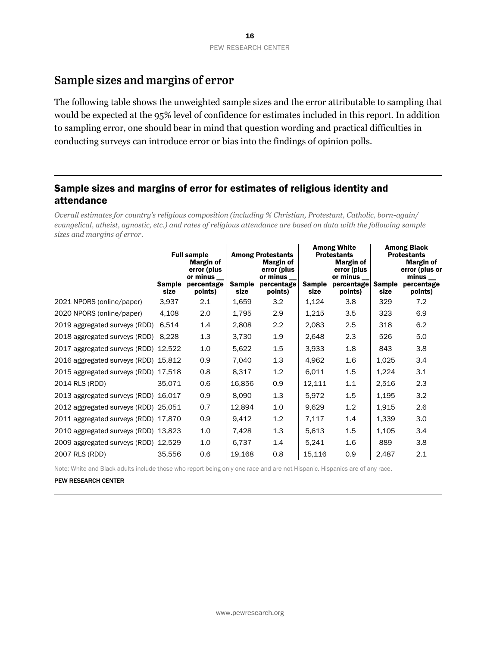# Sample sizes and margins of error

The following table shows the unweighted sample sizes and the error attributable to sampling that would be expected at the 95% level of confidence for estimates included in this report. In addition to sampling error, one should bear in mind that question wording and practical difficulties in conducting surveys can introduce error or bias into the findings of opinion polls.

# Sample sizes and margins of error for estimates of religious identity and attendance

*Overall estimates for country's religious composition (including % Christian, Protestant, Catholic, born-again/ evangelical, atheist, agnostic, etc.) and rates of religious attendance are based on data with the following sample sizes and margins of error.*

|                                      | <b>Full sample</b><br>Margin of<br>error (plus<br>or minus |                       | <b>Among Protestants</b><br>Margin of<br>error (plus<br>or minus |                       | <b>Among White</b><br><b>Protestants</b><br>Margin of<br>error (plus<br>or minus |                       | <b>Among Black</b><br><b>Protestants</b><br>Margin of<br>error (plus or<br>minus |                       |
|--------------------------------------|------------------------------------------------------------|-----------------------|------------------------------------------------------------------|-----------------------|----------------------------------------------------------------------------------|-----------------------|----------------------------------------------------------------------------------|-----------------------|
|                                      | <b>Sample</b><br>size                                      | percentage<br>points) | <b>Sample</b><br>size                                            | percentage<br>points) | Sample<br>size                                                                   | percentage<br>points) | <b>Sample</b><br>size                                                            | percentage<br>points) |
| 2021 NPORS (online/paper)            | 3,937                                                      | 2.1                   | 1,659                                                            | 3.2                   | 1,124                                                                            | 3.8                   | 329                                                                              | 7.2                   |
| 2020 NPORS (online/paper)            | 4,108                                                      | 2.0                   | 1,795                                                            | 2.9                   | 1,215                                                                            | 3.5                   | 323                                                                              | 6.9                   |
| 2019 aggregated surveys (RDD)        | 6,514                                                      | 1.4                   | 2,808                                                            | 2.2                   | 2,083                                                                            | 2.5                   | 318                                                                              | 6.2                   |
| 2018 aggregated surveys (RDD)        | 8,228                                                      | 1.3                   | 3,730                                                            | 1.9                   | 2,648                                                                            | 2.3                   | 526                                                                              | 5.0                   |
| 2017 aggregated surveys (RDD) 12,522 |                                                            | 1.0                   | 5,622                                                            | 1.5                   | 3.933                                                                            | 1.8                   | 843                                                                              | 3.8                   |
| 2016 aggregated surveys (RDD) 15,812 |                                                            | 0.9                   | 7,040                                                            | 1.3                   | 4,962                                                                            | 1.6                   | 1,025                                                                            | 3.4                   |
| 2015 aggregated surveys (RDD) 17,518 |                                                            | 0.8                   | 8,317                                                            | 1.2                   | 6,011                                                                            | 1.5                   | 1,224                                                                            | 3.1                   |
| 2014 RLS (RDD)                       | 35,071                                                     | 0.6                   | 16,856                                                           | 0.9                   | 12,111                                                                           | 1.1                   | 2,516                                                                            | 2.3                   |
| 2013 aggregated surveys (RDD) 16,017 |                                                            | 0.9                   | 8,090                                                            | 1.3                   | 5,972                                                                            | 1.5                   | 1,195                                                                            | 3.2                   |
| 2012 aggregated surveys (RDD) 25,051 |                                                            | 0.7                   | 12,894                                                           | 1.0                   | 9,629                                                                            | 1.2                   | 1,915                                                                            | 2.6                   |
| 2011 aggregated surveys (RDD) 17,870 |                                                            | 0.9                   | 9,412                                                            | 1.2                   | 7,117                                                                            | 1.4                   | 1,339                                                                            | 3.0                   |
| 2010 aggregated surveys (RDD) 13,823 |                                                            | 1.0                   | 7,428                                                            | 1.3                   | 5,613                                                                            | 1.5                   | 1,105                                                                            | 3.4                   |
| 2009 aggregated surveys (RDD) 12,529 |                                                            | 1.0                   | 6,737                                                            | 1.4                   | 5,241                                                                            | 1.6                   | 889                                                                              | 3.8                   |
| 2007 RLS (RDD)                       | 35,556                                                     | 0.6                   | 19,168                                                           | 0.8                   | 15,116                                                                           | 0.9                   | 2,487                                                                            | 2.1                   |

Note: White and Black adults include those who report being only one race and are not Hispanic. Hispanics are of any race.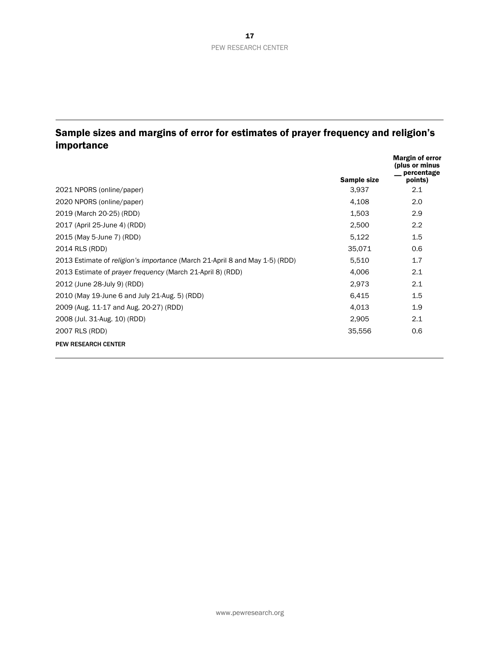# Sample sizes and margins of error for estimates of prayer frequency and religion's importance

|                                                                             | Sample size | <b>Margin of error</b><br>(plus or minus<br>percentage<br>points) |
|-----------------------------------------------------------------------------|-------------|-------------------------------------------------------------------|
| 2021 NPORS (online/paper)                                                   | 3,937       | 2.1                                                               |
| 2020 NPORS (online/paper)                                                   | 4,108       | 2.0                                                               |
| 2019 (March 20-25) (RDD)                                                    | 1,503       | 2.9                                                               |
| 2017 (April 25-June 4) (RDD)                                                | 2,500       | 2.2                                                               |
| 2015 (May 5-June 7) (RDD)                                                   | 5,122       | 1.5                                                               |
| 2014 RLS (RDD)                                                              | 35,071      | 0.6                                                               |
| 2013 Estimate of religion's importance (March 21-April 8 and May 1-5) (RDD) | 5,510       | 1.7                                                               |
| 2013 Estimate of <i>prayer frequency</i> (March 21-April 8) (RDD)           | 4,006       | 2.1                                                               |
| 2012 (June 28-July 9) (RDD)                                                 | 2,973       | 2.1                                                               |
| 2010 (May 19-June 6 and July 21-Aug. 5) (RDD)                               | 6.415       | 1.5                                                               |
| 2009 (Aug. 11-17 and Aug. 20-27) (RDD)                                      | 4,013       | 1.9                                                               |
| 2008 (Jul. 31-Aug. 10) (RDD)                                                | 2,905       | 2.1                                                               |
| 2007 RLS (RDD)                                                              | 35,556      | 0.6                                                               |
| <b>PEW RESEARCH CENTER</b>                                                  |             |                                                                   |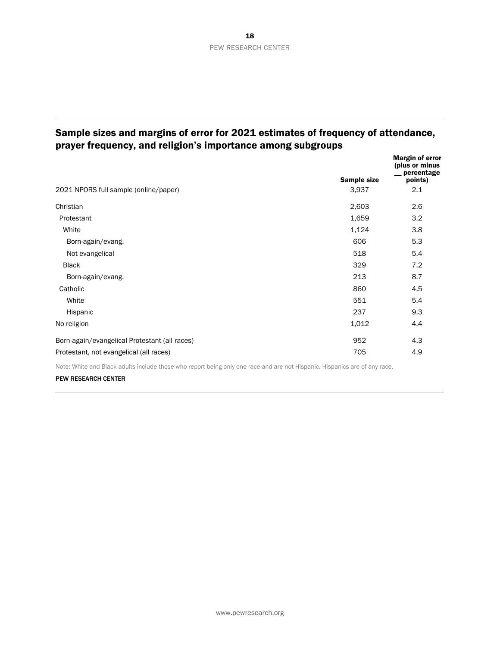# Sample sizes and margins of error for 2021 estimates of frequency of attendance, prayer frequency, and religion's importance among subgroups

| Sample size | <b>Margin of error</b><br>(plus or minus<br>_percentage<br>points) |
|-------------|--------------------------------------------------------------------|
| 3,937       | 2.1                                                                |
| 2,603       | 2.6                                                                |
| 1,659       | 3.2                                                                |
| 1,124       | 3.8                                                                |
| 606         | 5.3                                                                |
| 518         | 5.4                                                                |
| 329         | 7.2                                                                |
| 213         | 8.7                                                                |
| 860         | 4.5                                                                |
| 551         | 5.4                                                                |
| 237         | 9.3                                                                |
| 1,012       | 4.4                                                                |
| 952         | 4.3                                                                |
| 705         | 4.9                                                                |
|             |                                                                    |

Note: White and Black adults include those who report being only one race and are not Hispanic. Hispanics are of any race.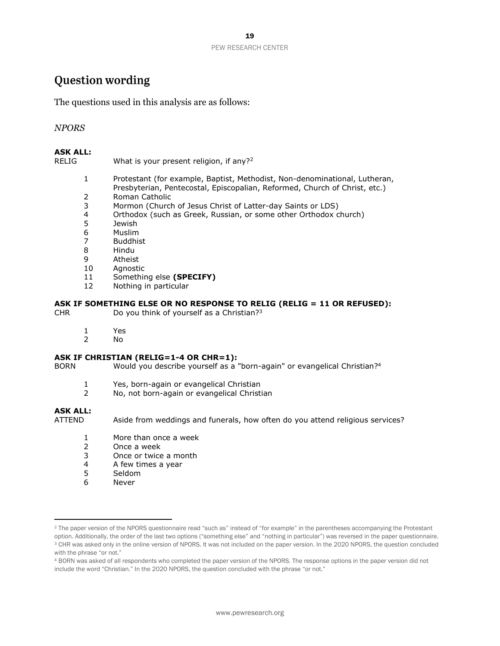# **Question wording**

The questions used in this analysis are as follows:

## *NPORS*

#### **ASK ALL:**

RELIG What is your present religion, if any?<sup>2</sup>

- 1 Protestant (for example, Baptist, Methodist, Non-denominational, Lutheran, Presbyterian, Pentecostal, Episcopalian, Reformed, Church of Christ, etc.)
- 2 Roman Catholic
- 3 Mormon (Church of Jesus Christ of Latter-day Saints or LDS)
- 4 Orthodox (such as Greek, Russian, or some other Orthodox church)
- 5 Jewish
- 6 Muslim
- 7 Buddhist
- 8 Hindu
- 9 Atheist
- 10 Agnostic
- 11 Something else **(SPECIFY)**
- 12 Nothing in particular

### **ASK IF SOMETHING ELSE OR NO RESPONSE TO RELIG (RELIG = 11 OR REFUSED):**

CHR Do you think of yourself as a Christian?<sup>3</sup>

- 1 Yes
- 2 No

#### **ASK IF CHRISTIAN (RELIG=1-4 OR CHR=1):**

BORN Would you describe yourself as a "born-again" or evangelical Christian?<sup>4</sup>

- 1 Yes, born-again or evangelical Christian
- 2 No, not born-again or evangelical Christian

#### **ASK ALL:**

ATTEND Aside from weddings and funerals, how often do you attend religious services?

- 1 More than once a week
- 2 Once a week
- 3 Once or twice a month
- 4 A few times a year
- 5 Seldom
- 6 Never

<sup>&</sup>lt;sup>2</sup> The paper version of the NPORS questionnaire read "such as" instead of "for example" in the parentheses accompanying the Protestant option. Additionally, the order of the last two options ("something else" and "nothing in particular") was reversed in the paper questionnaire.

<sup>&</sup>lt;sup>3</sup> CHR was asked only in the online version of NPORS. It was not included on the paper version. In the 2020 NPORS, the question concluded with the phrase "or not."

<sup>4</sup> BORN was asked of all respondents who completed the paper version of the NPORS. The response options in the paper version did not include the word "Christian." In the 2020 NPORS, the question concluded with the phrase "or not."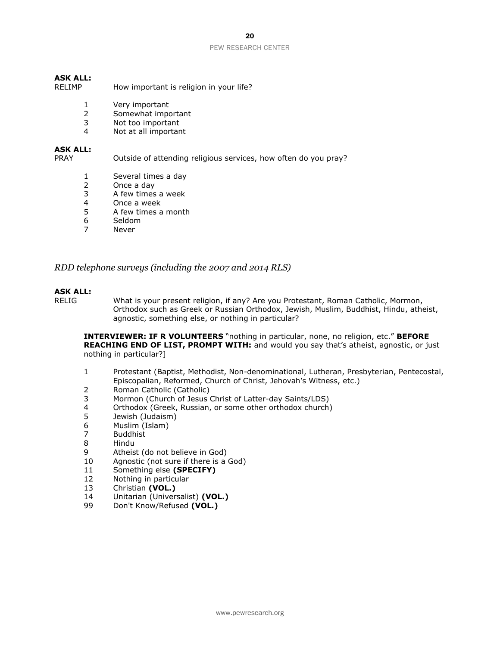#### PEW RESEARCH CENTER

## **ASK ALL:**

- RELIMP How important is religion in your life?
	- 1 Very important
	- 2 Somewhat important
	- 3 Not too important
	- 4 Not at all important

### **ASK ALL:**

PRAY Outside of attending religious services, how often do you pray?

- 1 Several times a day
- 2 Once a day
- 3 A few times a week
- 4 Once a week<br>5 A few times a
- 5 A few times a month
- 6 Seldom
- 7 Never

*RDD telephone surveys (including the 2007 and 2014 RLS)*

### **ASK ALL:**

RELIG What is your present religion, if any? Are you Protestant, Roman Catholic, Mormon, Orthodox such as Greek or Russian Orthodox, Jewish, Muslim, Buddhist, Hindu, atheist, agnostic, something else, or nothing in particular?

**INTERVIEWER: IF R VOLUNTEERS** "nothing in particular, none, no religion, etc." **BEFORE REACHING END OF LIST, PROMPT WITH:** and would you say that's atheist, agnostic, or just nothing in particular?]

- 1 Protestant (Baptist, Methodist, Non-denominational, Lutheran, Presbyterian, Pentecostal, Episcopalian, Reformed, Church of Christ, Jehovah's Witness, etc.)
- 2 Roman Catholic (Catholic)
- 3 Mormon (Church of Jesus Christ of Latter-day Saints/LDS)
- 4 Orthodox (Greek, Russian, or some other orthodox church)
- 5 Jewish (Judaism)
- 6 Muslim (Islam)
- 7 Buddhist
- 8 Hindu
- 9 Atheist (do not believe in God)
- 10 Agnostic (not sure if there is a God)
- 11 Something else **(SPECIFY)**
- 12 Nothing in particular
- 13 Christian **(VOL.)**
- 14 Unitarian (Universalist) **(VOL.)**
- 99 Don't Know/Refused **(VOL.)**